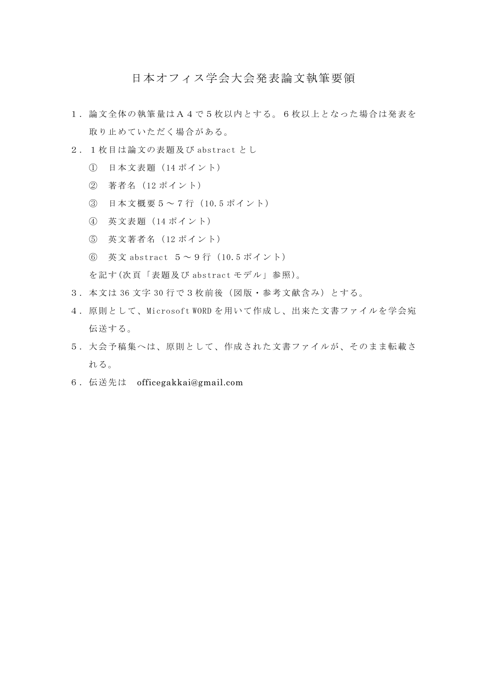## 日本オフィス学会大会発表論文執筆要領

- 1.論文全体の執筆量はA4で5枚以内とする。6枚以上となった場合は発表を 取り止めていただく場合がある。
- 2.1枚目は論文の表題及び abstract とし
	- ① 日本文表題(14 ポイント)
	- ② 著者名(12 ポイント)
	- ③ 日本文概要5~7行(10.5 ポイント)
	- ④ 英文表題(14 ポイント)
	- ⑤ 英文著者名(12 ポイント)
	- ⑥ 英文 abstract 5~9行(10.5 ポイント)

を記す(次頁「表題及び abstract モデル」参照)。

- 3.本文は 36 文字 30 行で3枚前後(図版・参考文献含み)とする。
- 4.原則として、 Microsoft WORD を用いて作成し、出来た文書ファイルを学会宛 伝送する。
- 5.大会予稿集へは、原則として、作成された文書ファイルが、そのまま転載さ れる。
- 6.伝送先は officegakkai@gmail.com